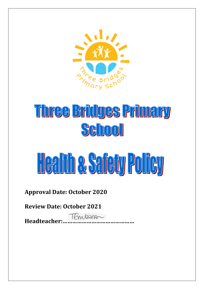

# Three Bridges Primary Sehool

# Health a Safety Policy

## **Approval Date: October 2020**

### **Review Date: October 2021**

**Headteacher:………………………………………**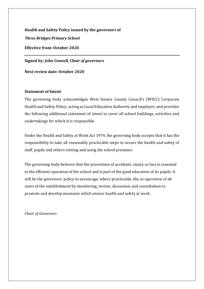**Health and Safety Policy issued by the governors of** *Three Bridges Primary School* **Effective from: October 2020**

**Signed by:** *John Connell, Chair of governors*

**Next review date: October 2020**

#### **Statement of Intent**

The governing body acknowledges West Sussex County Council's (WSCC) Corporate Health and Safety Policy, acting as Local Education Authority and employer, and provides the following additional statement of intent to cover all school buildings, activities and undertakings for which it is responsible.

Under the Health and Safety at Work Act 1974, the governing body accepts that it has the responsibility to take all reasonably practicable steps to secure the health and safety of staff, pupils and others visiting and using the school premises.

The governing body believes that the prevention of accidents, injury or loss is essential to the efficient operation of the school and is part of the good education of its pupils. It will be the governors' policy to encourage, where practicable, the co-operation of all users of the establishment by monitoring, review, discussion and consultation to promote and develop measures which ensure health and safety at work.

*Chair of Governors*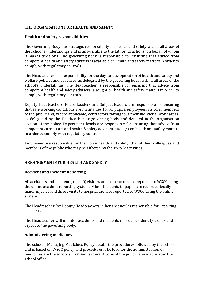#### **THE ORGANISATION FOR HEALTH AND SAFETY**

#### **Health and safety responsibilities**

The Governing Body has strategic responsibility for health and safety within all areas of the school's undertakings and is answerable to the LA for its actions, on behalf of whom it makes decisions. The governing body is responsible for ensuring that advice from competent health and safety advisers is available on health and safety matters in order to comply with regulatory controls.

The Headteacher has responsibility for the day-to-day operation of health and safety and welfare policies and practices, as delegated by the governing body, within all areas of the school's undertakings. The Headteacher is responsible for ensuring that advice from competent health and safety advisers is sought on health and safety matters in order to comply with regulatory controls.

Deputy Headteachers, Phase Leaders and Subject leaders are responsible for ensuring that safe working conditions are maintained for all pupils, employees, visitors, members of the public and, where applicable, contractors throughout their individual work areas, as delegated by the Headteacher or governing body and detailed in the organisation section of the policy. Department heads are responsible for ensuring that advice from competent curriculum and health & safety advisers is sought on health and safety matters in order to comply with regulatory controls.

Employees are responsible for their own health and safety, that of their colleagues and members of the public who may be affected by their work activities.

#### **ARRANGEMENTS FOR HEALTH AND SAFETY**

#### **Accident and Incident Reporting**

All accidents and incidents, to staff, visitors and contractors are reported to WSCC using the online accident reporting system. Minor incidents to pupils are recorded locally major injuries and direct visits to hospital are also reported to WSCC using the online system.

The Headteacher (or Deputy Headteachers in her absence) is responsible for reporting accidents.

The Headteacher will monitor accidents and incidents in order to identify trends and report to the governing body.

#### **Administering medicines**

The school's Managing Medicines Policy details the procedures followed by the school and is based on WSCC policy and procedures. The lead for the administration of medicines are the school's First Aid leaders. A copy of the policy is available from the school office.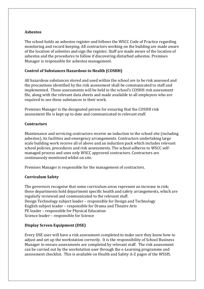#### **Asbestos**

The school holds an asbestos register and follows the WSCC Code of Practice regarding monitoring and record keeping. All contractors working on the building are made aware of the location of asbestos and sign the register. Staff are made aware of the location of asbestos and the procedures to follow if discovering disturbed asbestos. Premises Manager is responsible for asbestos management.

#### **Control of Substances Hazardous to Health (COSHH)**

All hazardous substances stored and used within the school are to be risk assessed and the precautions identified by the risk assessment shall be communicated to staff and implemented. These assessments will be held in the school's COSHH risk assessment file, along with the relevant data sheets and made available to all employees who are required to use these substances in their work.

Premises Manager is the designated person for ensuring that the COSHH risk assessment file is kept up to date and communicated to relevant staff.

#### **Contractors**

Maintenance and servicing contractors receive an induction to the school site (including asbestos), its facilities and emergency arrangements. Contractors undertaking large scale building work receive all of above and an induction pack which includes relevant school policies, procedures and risk assessments. The school adheres to WSCC selfmanaged process and uses only WSCC approved contractors. Contractors are continuously monitored whilst on site.

Premises Manager is responsible for the management of contractors.

#### **Curriculum Safety**

The governors recognise that some curriculum areas represent an increase in risk; these departments hold department specific health and safety arrangements, which are regularly reviewed and communicated to the relevant staff. Design Technology subject leader – responsible for Design and Technology English subject leader – responsible for Drama and Theatre Arts PE leader – responsible for Physical Education Science leader – responsible for Science

#### **Display Screen Equipment (DSE)**

Every DSE user will have a risk assessment completed to make sure they know how to adjust and set up the workstation correctly. It is the responsibility of School Business Manager to ensure assessments are completed by relevant staff. The risk assessment can be carried out by the workstation user through the e-Learning programme and assessment checklist. This is available on Health and Safety A-Z pages of the WSSfS.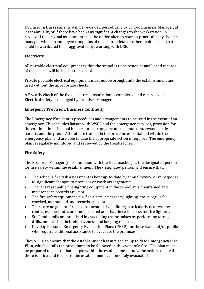DSE user risk assessments will be reviewed periodically by School Business Manager, at least annually, or if there have been any significant changes to the workstation. A review of the original assessment must be undertaken as soon as practicable by the line manager when an employee complains of musculoskeletal or other health issues that could be attributed to, or aggravated by, working with DSE.

#### **Electricity**

All portable electrical equipment within the school is to be tested annually and records of these tests will be held at the school.

Private portable electrical equipment must not be brought into the establishment and used without the appropriate checks.

A 5 yearly check of the fixed electrical installation is completed and records kept. Electrical safety is managed by Premises Manager.

#### **Emergency Provision/Business Continuity**

The Emergency Plan details procedures and arrangements to be used in the event of an emergency. This includes liaison with WSCC and the emergency services, provision for the continuation of school business and arrangements to contact interested parties i.e. parents and the press. All staff are trained in the procedures contained within the emergency plan and are able to take the appropriate action if required. The emergency plan is regularly monitored and reviewed by the Headteacher.

#### **Fire Safety**

The Premises Manager (in conjunction with the Headteacher), is the designated person for fire safety within the establishment. The designated person will ensure that:

- The school's fire risk assessment is kept up-to-date by annual review or in response to significant changes to premises or work arrangements.
- There is reasonable fire-fighting equipment in the school, it is maintained and maintenance records are kept.
- The fire safety equipment, e.g. fire alarm, emergency lighting, etc. is regularly checked, maintained and records are kept.
- There are no general fire hazards around the building, particularly near escape routes, escape routes are unobstructed and that there is access for fire fighters.
- Staff and pupils are practised in evacuating the premises by performing termly drills, monitoring their effectiveness and keeping records.
- Develop Personal Emergency Evacuation Plans (PEEP) for those staff and/or pupils who require additional assistance to evacuate the premises.

They will also ensure that the establishment has in place an up to date **Emergency Fire Plan**, which details the procedures to be followed in the event of a fire. The plan must be prepared to ensure that people within the establishment know the action to take if there is a fire, and to ensure the establishment can be safely evacuated.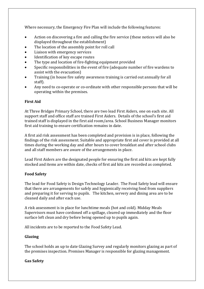Where necessary, the Emergency Fire Plan will include the following features:

- Action on discovering a fire and calling the fire service (these notices will also be displayed throughout the establishment)
- The location of the assembly point for roll call
- Liaison with emergency services
- Identification of key escape routes
- The type and location of fire-fighting equipment provided
- Specific responsibilities in the event of fire (adequate number of fire wardens to assist with the evacuation)
- Training (in house fire safety awareness training is carried out annually for all staff).
- Any need to co-operate or co-ordinate with other responsible persons that will be operating within the premises.

#### **First Aid**

At Three Bridges Primary School, there are two lead First Aiders, one on each site. All support staff and office staff are trained First Aiders. Details of the school's first aid trained staff is displayed in the first aid room/area. School Business Manager monitors first aid training to ensure certification remains in date.

A first aid risk assessment has been completed and provision is in place, following the findings of the risk assessment. Suitable and appropriate first aid cover is provided at all times during the working day and after hours to cover breakfast and after school clubs and all staff members are aware of the arrangements in place.

Lead First Aiders are the designated people for ensuring the first aid kits are kept fully stocked and items are within date, checks of first aid kits are recorded as completed.

#### **Food Safety**

The lead for Food Safety is Design Technology Leader. The Food Safety lead will ensure that there are arrangements for safely and hygienically receiving food from suppliers and preparing it for serving to pupils. The kitchen, servery and dining area are to be cleaned daily and after each use.

A risk assessment is in place for lunchtime meals (hot and cold). Midday Meals Supervisors must have cordoned off a spillage, cleared up immediately and the floor surface left clean and dry before being opened up to pupils again.

All incidents are to be reported to the Food Safety Lead.

#### **Glazing**

The school holds an up to date Glazing Survey and regularly monitors glazing as part of the premises inspection. Premises Manager is responsible for glazing management.

#### **Gas Safety**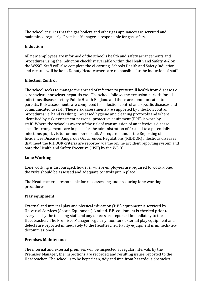The school ensures that the gas boilers and other gas appliances are serviced and maintained regularly. Premises Manager is responsible for gas safety.

#### **Induction**

All new employees are informed of the school's health and safety arrangements and procedures using the induction checklist available within the Health and Safety A-Z on the WSSfS. Staff will also complete the eLearning 'Schools Health and Safety Induction' and records will be kept. Deputy Headteachers are responsible for the induction of staff.

#### **Infection Control**

The school seeks to manage the spread of infection to prevent ill health from disease i.e. coronavirus, norovirus, hepatitis etc. The school follows the exclusion periods for all infectious diseases set by Public Health England and these are communicated to parents. Risk assessments are completed for infection control and specific diseases and communicated to staff. These risk assessments are supported by infection control procedures i.e. hand washing, increased hygiene and cleaning protocols and where identified by risk assessment personal protective equipment (PPE) is worn by staff. Where the school is aware of the risk of transmission of an infectious disease specific arrangements are in place for the administration of first aid to a potentially infectious pupil, visitor or member of staff. As required under the Reporting of Incidences Diseases Dangerous Occurrences Regulations (RIDDOR) infectious diseases that meet the RIDDOR criteria are reported via the online accident reporting system and onto the Health and Safety Executive (HSE) by the WSCC.

#### **Lone Working**

Lone working is discouraged, however where employees are required to work alone, the risks should be assessed and adequate controls put in place.

The Headteacher is responsible for risk assessing and producing lone working procedures.

#### **Play equipment**

External and internal play and physical education (P.E.) equipment is serviced by Universal Services (Sports Equipment) Limited. P.E. equipment is checked prior to every use by the teaching staff and any defects are reported immediately to the Headteacher. The Premises Manager regularly monitors external play equipment and defects are reported immediately to the Headteacher. Faulty equipment is immediately decommissioned.

#### **Premises Maintenance**

The internal and external premises will be inspected at regular intervals by the Premises Manager, the inspections are recorded and resulting issues reported to the Headteacher. The school is to be kept clean, tidy and free from hazardous obstacles.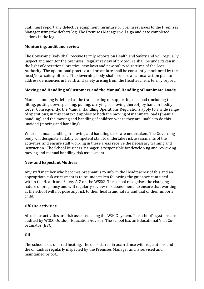Staff must report any defective equipment; furniture or premises issues to the Premises Manager using the defects log. The Premises Manager will sign and date completed actions in the log.

#### **Monitoring, audit and review**

The Governing Body shall receive termly reports on Health and Safety and will regularly inspect and monitor the premises. Regular review of procedure shall be undertaken in the light of operational practice, new laws and new policy/directives of the Local Authority. The operational practice and procedure shall be constantly monitored by the head/local safety officer. The Governing body shall prepare an annual action plan to address deficiencies in health and safety arising from the Headteacher's termly report.

#### **Moving and Handling of Customers and the Manual Handling of Inanimate Loads**

Manual handling is defined as the transporting or supporting of a load (including the lifting, putting down, pushing, pulling, carrying or moving thereof) by hand or bodily force. Consequently, the Manual Handling Operations Regulations apply to a wide range of operations; in this context it applies to both the moving of inanimate loads (manual handling) and the moving and handling of children where they are unable to do this unaided (moving and handling).

Where manual handling or moving and handling tasks are undertaken, The Governing body will designate suitably competent staff to undertake risk assessments of the activities, and ensure staff working in these areas receive the necessary training and instruction. The School Business Manager is responsible for developing and reviewing moving and manual handling risk assessment.

#### **New and Expectant Mothers**

Any staff member who becomes pregnant is to inform the Headteacher of this and an appropriate risk assessment is to be undertaken following the guidance contained within the Health and Safety A-Z on the WSSfS. The school recognises the changing nature of pregnancy and will regularly review risk assessments to ensure that working at the school will not pose any risk to their health and safety and that of their unborn child.

#### **Off-site activities**

All off site activities are risk assessed using the WSCC system. The school's systems are audited by WSCC Outdoor Education Advisor. The school has an Educational Visit Coordinator (EVC).

#### **Oil**

The school uses oil fired heating. The oil is stored in accordance with regulations and the oil tank is regularly inspected by the Premises Manager and is serviced and maintained by SSC.